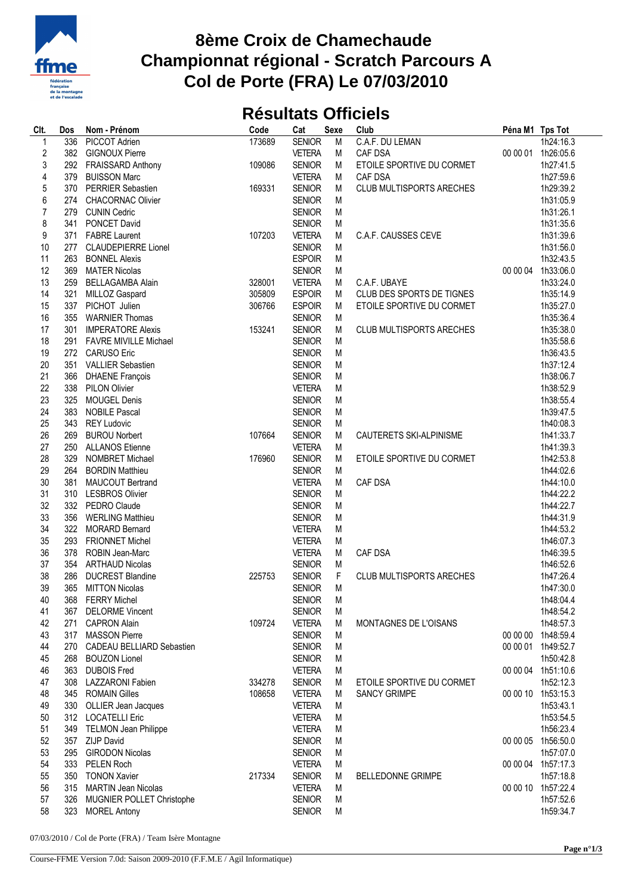

## **8ème Croix de Chamechaude Championnat régional - Scratch Parcours A Col de Porte (FRA) Le 07/03/2010**

## **Résultats Officiels**

| Clt.             | Dos | Nom - Prénom                 | Code   | Cat           | Sexe   | Club                            | Péna M1 Tps Tot |                    |
|------------------|-----|------------------------------|--------|---------------|--------|---------------------------------|-----------------|--------------------|
| $\mathbf 1$      | 336 | <b>PICCOT Adrien</b>         | 173689 | <b>SENIOR</b> | M      | C.A.F. DU LEMAN                 |                 | 1h24:16.3          |
| $\boldsymbol{2}$ | 382 | <b>GIGNOUX Pierre</b>        |        | <b>VETERA</b> | M      | CAF DSA                         |                 | 00 00 01 1h26:05.6 |
| 3                | 292 | <b>FRAISSARD Anthony</b>     | 109086 | <b>SENIOR</b> | M      | ETOILE SPORTIVE DU CORMET       |                 | 1h27:41.5          |
| 4                | 379 | <b>BUISSON Marc</b>          |        | <b>VETERA</b> | М      | <b>CAF DSA</b>                  |                 | 1h27:59.6          |
| 5                | 370 | PERRIER Sebastien            | 169331 | <b>SENIOR</b> | M      | <b>CLUB MULTISPORTS ARECHES</b> |                 | 1h29:39.2          |
| 6                | 274 | <b>CHACORNAC Olivier</b>     |        | <b>SENIOR</b> | M      |                                 |                 | 1h31:05.9          |
| $\overline{7}$   | 279 | <b>CUNIN Cedric</b>          |        | <b>SENIOR</b> | M      |                                 |                 | 1h31:26.1          |
| 8                | 341 | PONCET David                 |        | <b>SENIOR</b> | M      |                                 |                 | 1h31:35.6          |
| 9                | 371 | <b>FABRE Laurent</b>         | 107203 | <b>VETERA</b> | М      | C.A.F. CAUSSES CEVE             |                 | 1h31:39.6          |
| 10               | 277 | <b>CLAUDEPIERRE Lionel</b>   |        | <b>SENIOR</b> | M      |                                 |                 | 1h31:56.0          |
| 11               | 263 | <b>BONNEL Alexis</b>         |        | <b>ESPOIR</b> | M      |                                 |                 | 1h32:43.5          |
| 12               | 369 | <b>MATER Nicolas</b>         |        | <b>SENIOR</b> | M      |                                 |                 | 00 00 04 1h33:06.0 |
| 13               | 259 | <b>BELLAGAMBA Alain</b>      | 328001 | <b>VETERA</b> | M      | C.A.F. UBAYE                    |                 | 1h33:24.0          |
| 14               | 321 | MILLOZ Gaspard               | 305809 | <b>ESPOIR</b> | M      | CLUB DES SPORTS DE TIGNES       |                 | 1h35:14.9          |
| 15               | 337 | PICHOT Julien                | 306766 | <b>ESPOIR</b> | М      | ETOILE SPORTIVE DU CORMET       |                 | 1h35:27.0          |
| 16               | 355 |                              |        |               |        |                                 |                 |                    |
|                  |     | <b>WARNIER Thomas</b>        |        | <b>SENIOR</b> | M      |                                 |                 | 1h35:36.4          |
| 17               | 301 | <b>IMPERATORE Alexis</b>     | 153241 | <b>SENIOR</b> | М      | <b>CLUB MULTISPORTS ARECHES</b> |                 | 1h35:38.0          |
| 18               | 291 | <b>FAVRE MIVILLE Michael</b> |        | <b>SENIOR</b> | M      |                                 |                 | 1h35:58.6          |
| 19               | 272 | <b>CARUSO Eric</b>           |        | <b>SENIOR</b> | M      |                                 |                 | 1h36:43.5          |
| 20               | 351 | <b>VALLIER Sebastien</b>     |        | <b>SENIOR</b> | M      |                                 |                 | 1h37:12.4          |
| 21               | 366 | <b>DHAENE François</b>       |        | <b>SENIOR</b> | M      |                                 |                 | 1h38:06.7          |
| 22               | 338 | <b>PILON Olivier</b>         |        | <b>VETERA</b> | M      |                                 |                 | 1h38:52.9          |
| 23               | 325 | <b>MOUGEL Denis</b>          |        | <b>SENIOR</b> | M      |                                 |                 | 1h38:55.4          |
| 24               | 383 | <b>NOBILE Pascal</b>         |        | <b>SENIOR</b> | M      |                                 |                 | 1h39:47.5          |
| 25               | 343 | <b>REY Ludovic</b>           |        | <b>SENIOR</b> | M      |                                 |                 | 1h40:08.3          |
| 26               | 269 | <b>BUROU Norbert</b>         | 107664 | <b>SENIOR</b> | M      | CAUTERETS SKI-ALPINISME         |                 | 1h41:33.7          |
| 27               | 250 | <b>ALLANOS Etienne</b>       |        | <b>VETERA</b> | M      |                                 |                 | 1h41:39.3          |
| 28               | 329 | <b>NOMBRET Michael</b>       | 176960 | <b>SENIOR</b> | M      | ETOILE SPORTIVE DU CORMET       |                 | 1h42:53.8          |
| 29               | 264 | <b>BORDIN Matthieu</b>       |        | <b>SENIOR</b> | M      |                                 |                 | 1h44:02.6          |
| 30               | 381 | <b>MAUCOUT Bertrand</b>      |        | <b>VETERA</b> | M      | <b>CAF DSA</b>                  |                 | 1h44:10.0          |
| 31               | 310 | <b>LESBROS Olivier</b>       |        | <b>SENIOR</b> | M      |                                 |                 | 1h44:22.2          |
| 32               | 332 | PEDRO Claude                 |        | <b>SENIOR</b> | M      |                                 |                 | 1h44:22.7          |
| 33               | 356 | <b>WERLING Matthieu</b>      |        | <b>SENIOR</b> | M      |                                 |                 | 1h44:31.9          |
| 34               | 322 | <b>MORARD Bernard</b>        |        | <b>VETERA</b> | M      |                                 |                 | 1h44:53.2          |
| 35               | 293 | <b>FRIONNET Michel</b>       |        | <b>VETERA</b> | M      |                                 |                 | 1h46:07.3          |
| 36               | 378 | ROBIN Jean-Marc              |        | <b>VETERA</b> | М      | CAF DSA                         |                 | 1h46:39.5          |
| 37               | 354 | <b>ARTHAUD Nicolas</b>       |        | <b>SENIOR</b> | M      |                                 |                 | 1h46:52.6          |
| 38               | 286 | <b>DUCREST Blandine</b>      | 225753 | <b>SENIOR</b> | F      | <b>CLUB MULTISPORTS ARECHES</b> |                 | 1h47:26.4          |
| 39               | 365 | <b>MITTON Nicolas</b>        |        | <b>SENIOR</b> | M      |                                 |                 | 1h47:30.0          |
| 40               |     | 368 FERRY Michel             |        | <b>SENIOR</b> | М      |                                 |                 | 1h48:04.4          |
| 41               | 367 | <b>DELORME Vincent</b>       |        | <b>SENIOR</b> | M      |                                 |                 | 1h48:54.2          |
| 42               | 271 | <b>CAPRON Alain</b>          | 109724 | <b>VETERA</b> | M      | MONTAGNES DE L'OISANS           |                 | 1h48:57.3          |
| 43               | 317 | <b>MASSON Pierre</b>         |        | <b>SENIOR</b> | M      |                                 |                 | 00 00 00 1h48:59.4 |
| 44               | 270 | CADEAU BELLIARD Sebastien    |        | <b>SENIOR</b> | M      |                                 |                 | 00 00 01 1h49:52.7 |
| 45               | 268 | <b>BOUZON Lionel</b>         |        | <b>SENIOR</b> | M      |                                 |                 | 1h50:42.8          |
| 46               |     | 363 DUBOIS Fred              |        | <b>VETERA</b> | M      |                                 |                 | 00 00 04 1h51:10.6 |
| 47               | 308 | <b>LAZZARONI Fabien</b>      | 334278 | <b>SENIOR</b> | M      | ETOILE SPORTIVE DU CORMET       |                 | 1h52:12.3          |
| 48               | 345 | <b>ROMAIN Gilles</b>         | 108658 | <b>VETERA</b> | M      | <b>SANCY GRIMPE</b>             |                 | 00 00 10 1h53:15.3 |
| 49               | 330 | OLLIER Jean Jacques          |        | <b>VETERA</b> | M      |                                 |                 | 1h53:43.1          |
| 50               | 312 | <b>LOCATELLI Eric</b>        |        | <b>VETERA</b> |        |                                 |                 | 1h53:54.5          |
| 51               |     | 349 TELMON Jean Philippe     |        | <b>VETERA</b> | M<br>M |                                 |                 | 1h56:23.4          |
| 52               |     |                              |        |               |        |                                 |                 |                    |
|                  | 357 | <b>ZIJP David</b>            |        | <b>SENIOR</b> | M      |                                 |                 | 00 00 05 1h56:50.0 |
| 53               | 295 | <b>GIRODON Nicolas</b>       |        | <b>SENIOR</b> | M      |                                 |                 | 1h57:07.0          |
| 54               | 333 | <b>PELEN Roch</b>            |        | <b>VETERA</b> | M      |                                 |                 | 00 00 04 1h57:17.3 |
| 55               | 350 | <b>TONON Xavier</b>          | 217334 | <b>SENIOR</b> | M      | <b>BELLEDONNE GRIMPE</b>        |                 | 1h57:18.8          |
| 56               | 315 | <b>MARTIN Jean Nicolas</b>   |        | <b>VETERA</b> | M      |                                 |                 | 00 00 10 1h57:22.4 |
| 57               | 326 | MUGNIER POLLET Christophe    |        | <b>SENIOR</b> | M      |                                 |                 | 1h57:52.6          |
| 58               |     | 323 MOREL Antony             |        | <b>SENIOR</b> | M      |                                 |                 | 1h59:34.7          |

07/03/2010 / Col de Porte (FRA) / Team Isère Montagne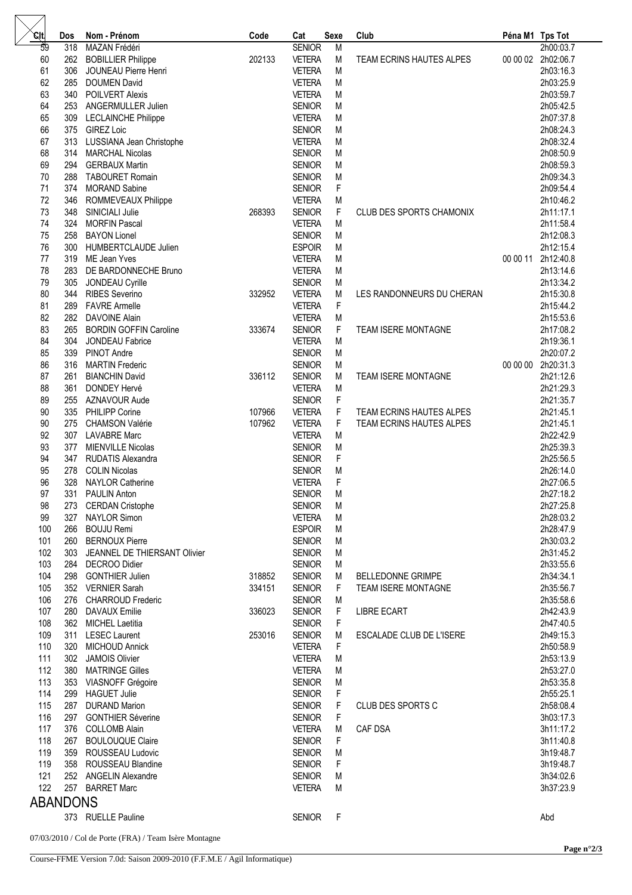| .cit            | Dos | Nom - Prénom                     | Code   | Cat           | <b>Sexe</b> | Club                      | Péna M1 Tps Tot |                    |
|-----------------|-----|----------------------------------|--------|---------------|-------------|---------------------------|-----------------|--------------------|
| $\overline{59}$ | 318 | MAZAN Frédéri                    |        | <b>SENIOR</b> | M           |                           |                 | 2h00:03.7          |
| 60              | 262 | <b>BOBILLIER Philippe</b>        | 202133 | <b>VETERA</b> | M           | TEAM ECRINS HAUTES ALPES  |                 | 00 00 02 2h02:06.7 |
| 61              | 306 | JOUNEAU Pierre Henri             |        | <b>VETERA</b> | M           |                           |                 | 2h03:16.3          |
| 62              | 285 | <b>DOUMEN David</b>              |        | <b>VETERA</b> | M           |                           |                 | 2h03:25.9          |
| 63              | 340 | <b>POILVERT Alexis</b>           |        | <b>VETERA</b> | M           |                           |                 | 2h03:59.7          |
| 64              | 253 | ANGERMULLER Julien               |        | <b>SENIOR</b> | M           |                           |                 | 2h05:42.5          |
|                 |     |                                  |        |               |             |                           |                 |                    |
| 65              | 309 | <b>LECLAINCHE Philippe</b>       |        | <b>VETERA</b> | M           |                           |                 | 2h07:37.8          |
| 66              | 375 | <b>GIREZ Loic</b>                |        | <b>SENIOR</b> | M           |                           |                 | 2h08:24.3          |
| 67              | 313 | LUSSIANA Jean Christophe         |        | <b>VETERA</b> | M           |                           |                 | 2h08:32.4          |
| 68              | 314 | <b>MARCHAL Nicolas</b>           |        | <b>SENIOR</b> | M           |                           |                 | 2h08:50.9          |
| 69              | 294 | <b>GERBAUX Martin</b>            |        | <b>SENIOR</b> | M           |                           |                 | 2h08:59.3          |
| 70              | 288 | <b>TABOURET Romain</b>           |        | <b>SENIOR</b> | ${\sf M}$   |                           |                 | 2h09:34.3          |
| 71              | 374 | <b>MORAND Sabine</b>             |        | <b>SENIOR</b> | $\mathsf F$ |                           |                 | 2h09:54.4          |
| 72              | 346 | ROMMEVEAUX Philippe              |        | <b>VETERA</b> | M           |                           |                 | 2h10:46.2          |
| 73              | 348 | SINICIALI Julie                  | 268393 | <b>SENIOR</b> | F           | CLUB DES SPORTS CHAMONIX  |                 | 2h11:17.1          |
| 74              | 324 | <b>MORFIN Pascal</b>             |        | <b>VETERA</b> | M           |                           |                 | 2h11:58.4          |
|                 |     |                                  |        |               |             |                           |                 |                    |
| 75              | 258 | <b>BAYON Lionel</b>              |        | <b>SENIOR</b> | M           |                           |                 | 2h12:08.3          |
| 76              | 300 | <b>HUMBERTCLAUDE Julien</b>      |        | <b>ESPOIR</b> | M           |                           |                 | 2h12:15.4          |
| 77              | 319 | ME Jean Yves                     |        | <b>VETERA</b> | M           |                           | 00 00 11        | 2h12:40.8          |
| 78              | 283 | DE BARDONNECHE Bruno             |        | <b>VETERA</b> | M           |                           |                 | 2h13:14.6          |
| 79              | 305 | JONDEAU Cyrille                  |        | <b>SENIOR</b> | M           |                           |                 | 2h13:34.2          |
| 80              | 344 | <b>RIBES Severino</b>            | 332952 | <b>VETERA</b> | M           | LES RANDONNEURS DU CHERAN |                 | 2h15:30.8          |
| 81              | 289 | <b>FAVRE Armelle</b>             |        | <b>VETERA</b> | F           |                           |                 | 2h15:44.2          |
| 82              | 282 | <b>DAVOINE Alain</b>             |        | <b>VETERA</b> | M           |                           |                 | 2h15:53.6          |
| 83              | 265 | <b>BORDIN GOFFIN Caroline</b>    | 333674 | <b>SENIOR</b> | F           | TEAM ISERE MONTAGNE       |                 | 2h17:08.2          |
| 84              | 304 | JONDEAU Fabrice                  |        | <b>VETERA</b> | M           |                           |                 | 2h19:36.1          |
| 85              | 339 | PINOT Andre                      |        | <b>SENIOR</b> | M           |                           |                 | 2h20:07.2          |
| 86              |     |                                  |        |               |             |                           | 00 00 00        |                    |
|                 | 316 | <b>MARTIN Frederic</b>           |        | <b>SENIOR</b> | M           |                           |                 | 2h20:31.3          |
| 87              | 261 | <b>BIANCHIN David</b>            | 336112 | <b>SENIOR</b> | M           | TEAM ISERE MONTAGNE       |                 | 2h21:12.6          |
| 88              | 361 | <b>DONDEY Hervé</b>              |        | <b>VETERA</b> | M           |                           |                 | 2h21:29.3          |
| 89              | 255 | AZNAVOUR Aude                    |        | <b>SENIOR</b> | F           |                           |                 | 2h21:35.7          |
| 90              | 335 | <b>PHILIPP Corine</b>            | 107966 | <b>VETERA</b> | F           | TEAM ECRINS HAUTES ALPES  |                 | 2h21:45.1          |
| 90              | 275 | <b>CHAMSON Valérie</b>           | 107962 | <b>VETERA</b> | F           | TEAM ECRINS HAUTES ALPES  |                 | 2h21:45.1          |
| 92              |     | 307 LAVABRE Marc                 |        | <b>VETERA</b> | M           |                           |                 | 2h22:42.9          |
| 93              | 377 | <b>MIENVILLE Nicolas</b>         |        | <b>SENIOR</b> | M           |                           |                 | 2h25:39.3          |
| 94              | 347 | <b>RUDATIS Alexandra</b>         |        | <b>SENIOR</b> | $\mathsf F$ |                           |                 | 2h25:56.5          |
| 95              | 278 | <b>COLIN Nicolas</b>             |        | <b>SENIOR</b> | ${\sf M}$   |                           |                 | 2h26:14.0          |
| 96              | 328 | <b>NAYLOR Catherine</b>          |        | <b>VETERA</b> | $\mathsf F$ |                           |                 | 2h27:06.5          |
| 97              |     | 331 PAULIN Anton                 |        | <b>SENIOR</b> | M           |                           |                 | 2h27:18.2          |
|                 |     |                                  |        |               |             |                           |                 |                    |
| 98              |     | 273 CERDAN Cristophe             |        | <b>SENIOR</b> | M           |                           |                 | 2h27:25.8          |
| 99              |     | 327 NAYLOR Simon                 |        | <b>VETERA</b> | M           |                           |                 | 2h28:03.2          |
| 100             |     | 266 BOUJU Remi                   |        | <b>ESPOIR</b> | M           |                           |                 | 2h28:47.9          |
| 101             |     | 260 BERNOUX Pierre               |        | <b>SENIOR</b> | M           |                           |                 | 2h30:03.2          |
| 102             |     | 303 JEANNEL DE THIERSANT Olivier |        | <b>SENIOR</b> | M           |                           |                 | 2h31:45.2          |
| 103             |     | 284 DECROO Didier                |        | <b>SENIOR</b> | M           |                           |                 | 2h33:55.6          |
| 104             |     | 298 GONTHIER Julien              | 318852 | <b>SENIOR</b> | M           | <b>BELLEDONNE GRIMPE</b>  |                 | 2h34:34.1          |
| 105             |     | 352 VERNIER Sarah                | 334151 | <b>SENIOR</b> | F           | TEAM ISERE MONTAGNE       |                 | 2h35:56.7          |
| 106             | 276 | <b>CHARROUD Frederic</b>         |        | <b>SENIOR</b> | M           |                           |                 | 2h35:58.6          |
| 107             |     | 280 DAVAUX Emilie                | 336023 | <b>SENIOR</b> | F           | <b>LIBRE ECART</b>        |                 | 2h42:43.9          |
| 108             |     | 362 MICHEL Laetitia              |        | <b>SENIOR</b> | F           |                           |                 | 2h47:40.5          |
| 109             |     | 311 LESEC Laurent                | 253016 | <b>SENIOR</b> | M           | ESCALADE CLUB DE L'ISERE  |                 | 2h49:15.3          |
|                 |     |                                  |        |               |             |                           |                 |                    |
| 110             |     | 320 MICHOUD Annick               |        | <b>VETERA</b> | F           |                           |                 | 2h50:58.9          |
| 111             |     | 302 JAMOIS Olivier               |        | <b>VETERA</b> | M           |                           |                 | 2h53:13.9          |
| 112             |     | 380 MATRINGE Gilles              |        | <b>VETERA</b> | M           |                           |                 | 2h53:27.0          |
| 113             |     | 353 VIASNOFF Grégoire            |        | <b>SENIOR</b> | M           |                           |                 | 2h53:35.8          |
| 114             |     | 299 HAGUET Julie                 |        | <b>SENIOR</b> | F           |                           |                 | 2h55:25.1          |
| 115             |     | 287 DURAND Marion                |        | <b>SENIOR</b> | F           | CLUB DES SPORTS C         |                 | 2h58:08.4          |
| 116             |     | 297 GONTHIER Séverine            |        | <b>SENIOR</b> | F           |                           |                 | 3h03:17.3          |
| 117             | 376 | COLLOMB Alain                    |        | <b>VETERA</b> | M           | CAF DSA                   |                 | 3h11:17.2          |
| 118             |     | 267 BOULOUQUE Claire             |        | <b>SENIOR</b> | F           |                           |                 | 3h11:40.8          |
| 119             | 359 | ROUSSEAU Ludovic                 |        | <b>SENIOR</b> | M           |                           |                 | 3h19:48.7          |
| 119             |     | 358 ROUSSEAU Blandine            |        | <b>SENIOR</b> | F           |                           |                 | 3h19:48.7          |
| 121             |     | 252 ANGELIN Alexandre            |        | <b>SENIOR</b> | M           |                           |                 | 3h34:02.6          |
|                 |     |                                  |        |               |             |                           |                 |                    |
| 122             |     | 257 BARRET Marc                  |        | <b>VETERA</b> | M           |                           |                 | 3h37:23.9          |
| <b>ABANDONS</b> |     |                                  |        |               |             |                           |                 |                    |
|                 |     | 373 RUELLE Pauline               |        | <b>SENIOR</b> | F           |                           |                 | Abd                |
|                 |     |                                  |        |               |             |                           |                 |                    |
|                 |     |                                  |        |               |             |                           |                 |                    |

07/03/2010 / Col de Porte (FRA) / Team Isère Montagne